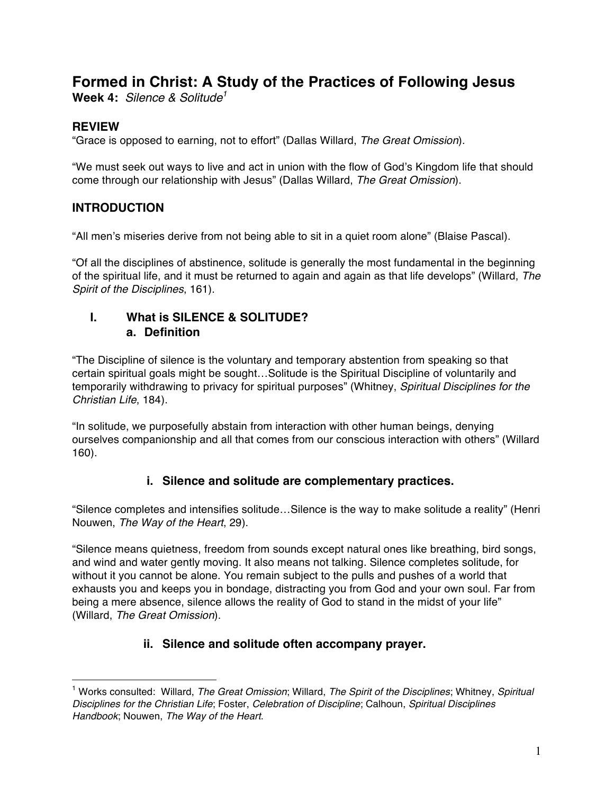# **Formed in Christ: A Study of the Practices of Following Jesus**

**Week 4:** *Silence & Solitude1*

# **REVIEW**

 $\overline{a}$ 

"Grace is opposed to earning, not to effort" (Dallas Willard, *The Great Omission*).

"We must seek out ways to live and act in union with the flow of God's Kingdom life that should come through our relationship with Jesus" (Dallas Willard, *The Great Omission*).

# **INTRODUCTION**

"All men's miseries derive from not being able to sit in a quiet room alone" (Blaise Pascal).

"Of all the disciplines of abstinence, solitude is generally the most fundamental in the beginning of the spiritual life, and it must be returned to again and again as that life develops" (Willard, *The Spirit of the Disciplines*, 161).

### **I. What is SILENCE & SOLITUDE? a. Definition**

"The Discipline of silence is the voluntary and temporary abstention from speaking so that certain spiritual goals might be sought…Solitude is the Spiritual Discipline of voluntarily and temporarily withdrawing to privacy for spiritual purposes" (Whitney, *Spiritual Disciplines for the Christian Life*, 184).

"In solitude, we purposefully abstain from interaction with other human beings, denying ourselves companionship and all that comes from our conscious interaction with others" (Willard 160).

# **i. Silence and solitude are complementary practices.**

"Silence completes and intensifies solitude…Silence is the way to make solitude a reality" (Henri Nouwen, *The Way of the Heart*, 29).

"Silence means quietness, freedom from sounds except natural ones like breathing, bird songs, and wind and water gently moving. It also means not talking. Silence completes solitude, for without it you cannot be alone. You remain subject to the pulls and pushes of a world that exhausts you and keeps you in bondage, distracting you from God and your own soul. Far from being a mere absence, silence allows the reality of God to stand in the midst of your life" (Willard, *The Great Omission*).

# **ii. Silence and solitude often accompany prayer.**

<sup>1</sup> Works consulted: Willard, *The Great Omission*; Willard, *The Spirit of the Disciplines*; Whitney, *Spiritual Disciplines for the Christian Life*; Foster, *Celebration of Discipline*; Calhoun, *Spiritual Disciplines Handbook*; Nouwen, *The Way of the Heart*.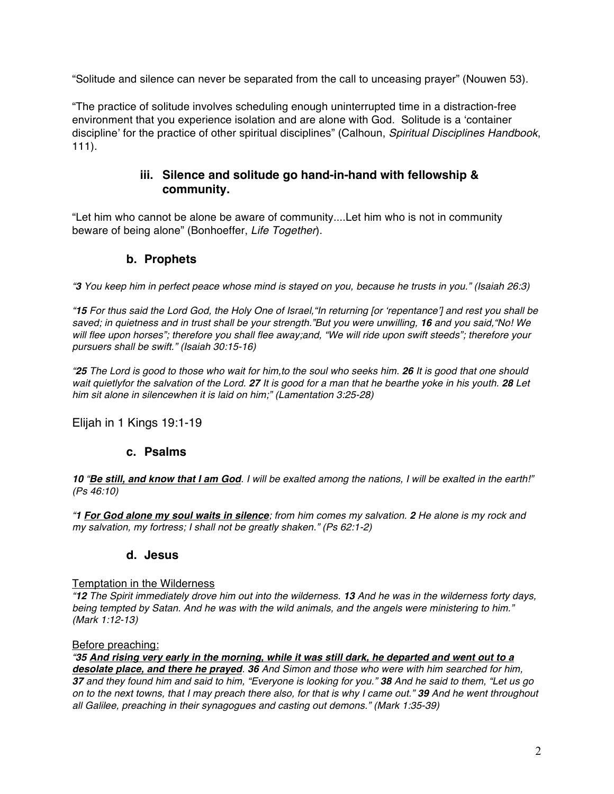"Solitude and silence can never be separated from the call to unceasing prayer" (Nouwen 53).

"The practice of solitude involves scheduling enough uninterrupted time in a distraction-free environment that you experience isolation and are alone with God. Solitude is a 'container discipline' for the practice of other spiritual disciplines" (Calhoun, *Spiritual Disciplines Handbook*, 111).

# **iii. Silence and solitude go hand-in-hand with fellowship & community.**

"Let him who cannot be alone be aware of community....Let him who is not in community beware of being alone" (Bonhoeffer, *Life Together*).

# **b. Prophets**

*"3 You keep him in perfect peace whose mind is stayed on you, because he trusts in you." (Isaiah 26:3)*

*"15 For thus said the Lord God, the Holy One of Israel,"In returning [or 'repentance'] and rest you shall be saved; in quietness and in trust shall be your strength."But you were unwilling, 16 and you said,"No! We will flee upon horses"; therefore you shall flee away;and, "We will ride upon swift steeds"; therefore your pursuers shall be swift." (Isaiah 30:15-16)*

*"25 The Lord is good to those who wait for him,to the soul who seeks him. 26 It is good that one should wait quietlyfor the salvation of the Lord. 27 It is good for a man that he bearthe yoke in his youth. 28 Let him sit alone in silencewhen it is laid on him;" (Lamentation 3:25-28)*

Elijah in 1 Kings 19:1-19

### **c. Psalms**

*10 "Be still, and know that I am God. I will be exalted among the nations, I will be exalted in the earth!" (Ps 46:10)*

*"1 For God alone my soul waits in silence; from him comes my salvation. 2 He alone is my rock and my salvation, my fortress; I shall not be greatly shaken." (Ps 62:1-2)*

### **d. Jesus**

#### Temptation in the Wilderness

*"12 The Spirit immediately drove him out into the wilderness. 13 And he was in the wilderness forty days, being tempted by Satan. And he was with the wild animals, and the angels were ministering to him." (Mark 1:12-13)*

#### Before preaching:

*"35 And rising very early in the morning, while it was still dark, he departed and went out to a desolate place, and there he prayed. 36 And Simon and those who were with him searched for him, 37 and they found him and said to him, "Everyone is looking for you." 38 And he said to them, "Let us go on to the next towns, that I may preach there also, for that is why I came out." 39 And he went throughout all Galilee, preaching in their synagogues and casting out demons." (Mark 1:35-39)*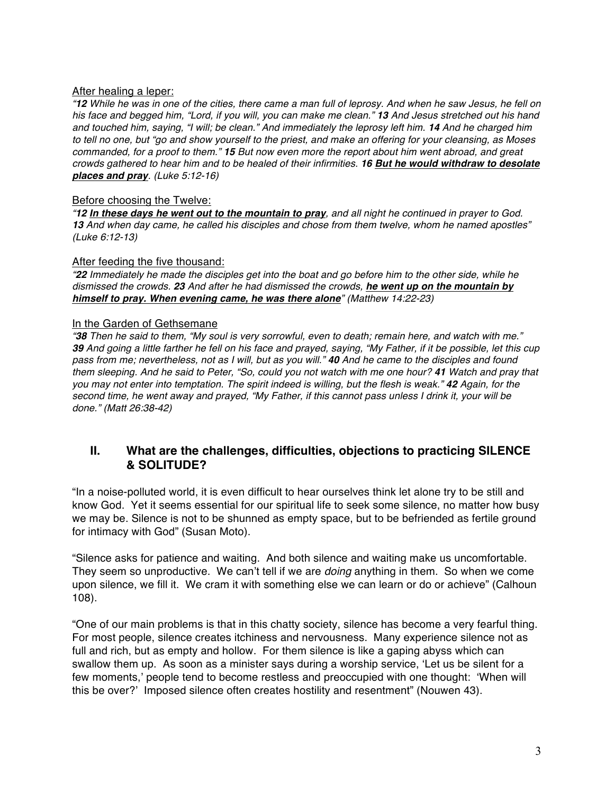#### After healing a leper:

*"12 While he was in one of the cities, there came a man full of leprosy. And when he saw Jesus, he fell on his face and begged him, "Lord, if you will, you can make me clean." 13 And Jesus stretched out his hand and touched him, saying, "I will; be clean." And immediately the leprosy left him. 14 And he charged him to tell no one, but "go and show yourself to the priest, and make an offering for your cleansing, as Moses commanded, for a proof to them." 15 But now even more the report about him went abroad, and great crowds gathered to hear him and to be healed of their infirmities. 16 But he would withdraw to desolate places and pray. (Luke 5:12-16)*

#### Before choosing the Twelve:

*"12 In these days he went out to the mountain to pray, and all night he continued in prayer to God. 13 And when day came, he called his disciples and chose from them twelve, whom he named apostles" (Luke 6:12-13)*

#### After feeding the five thousand:

*"22 Immediately he made the disciples get into the boat and go before him to the other side, while he dismissed the crowds. 23 And after he had dismissed the crowds, he went up on the mountain by himself to pray. When evening came, he was there alone" (Matthew 14:22-23)*

#### In the Garden of Gethsemane

*"38 Then he said to them, "My soul is very sorrowful, even to death; remain here, and watch with me." 39 And going a little farther he fell on his face and prayed, saying, "My Father, if it be possible, let this cup pass from me; nevertheless, not as I will, but as you will." 40 And he came to the disciples and found them sleeping. And he said to Peter, "So, could you not watch with me one hour? 41 Watch and pray that you may not enter into temptation. The spirit indeed is willing, but the flesh is weak." 42 Again, for the second time, he went away and prayed, "My Father, if this cannot pass unless I drink it, your will be done." (Matt 26:38-42)*

# **II. What are the challenges, difficulties, objections to practicing SILENCE & SOLITUDE?**

"In a noise-polluted world, it is even difficult to hear ourselves think let alone try to be still and know God. Yet it seems essential for our spiritual life to seek some silence, no matter how busy we may be. Silence is not to be shunned as empty space, but to be befriended as fertile ground for intimacy with God" (Susan Moto).

"Silence asks for patience and waiting. And both silence and waiting make us uncomfortable. They seem so unproductive. We can't tell if we are *doing* anything in them. So when we come upon silence, we fill it. We cram it with something else we can learn or do or achieve" (Calhoun 108).

"One of our main problems is that in this chatty society, silence has become a very fearful thing. For most people, silence creates itchiness and nervousness. Many experience silence not as full and rich, but as empty and hollow. For them silence is like a gaping abyss which can swallow them up. As soon as a minister says during a worship service, 'Let us be silent for a few moments,' people tend to become restless and preoccupied with one thought: 'When will this be over?' Imposed silence often creates hostility and resentment" (Nouwen 43).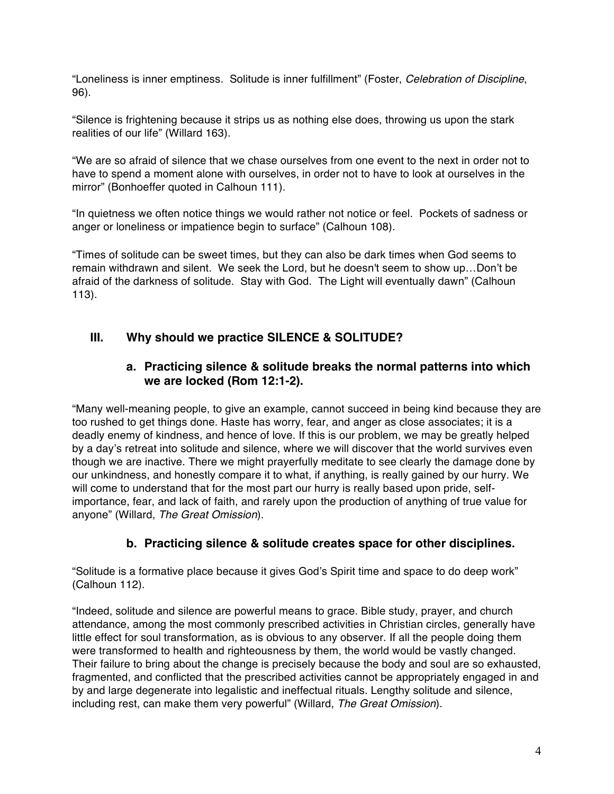"Loneliness is inner emptiness. Solitude is inner fulfillment" (Foster, *Celebration of Discipline*, 96).

"Silence is frightening because it strips us as nothing else does, throwing us upon the stark realities of our life" (Willard 163).

"We are so afraid of silence that we chase ourselves from one event to the next in order not to have to spend a moment alone with ourselves, in order not to have to look at ourselves in the mirror" (Bonhoeffer quoted in Calhoun 111).

"In quietness we often notice things we would rather not notice or feel. Pockets of sadness or anger or loneliness or impatience begin to surface" (Calhoun 108).

"Times of solitude can be sweet times, but they can also be dark times when God seems to remain withdrawn and silent. We seek the Lord, but he doesn't seem to show up…Don't be afraid of the darkness of solitude. Stay with God. The Light will eventually dawn" (Calhoun 113).

# **III. Why should we practice SILENCE & SOLITUDE?**

### **a. Practicing silence & solitude breaks the normal patterns into which we are locked (Rom 12:1-2).**

"Many well-meaning people, to give an example, cannot succeed in being kind because they are too rushed to get things done. Haste has worry, fear, and anger as close associates; it is a deadly enemy of kindness, and hence of love. If this is our problem, we may be greatly helped by a day's retreat into solitude and silence, where we will discover that the world survives even though we are inactive. There we might prayerfully meditate to see clearly the damage done by our unkindness, and honestly compare it to what, if anything, is really gained by our hurry. We will come to understand that for the most part our hurry is really based upon pride, selfimportance, fear, and lack of faith, and rarely upon the production of anything of true value for anyone" (Willard, *The Great Omission*).

### **b. Practicing silence & solitude creates space for other disciplines.**

"Solitude is a formative place because it gives God's Spirit time and space to do deep work" (Calhoun 112).

"Indeed, solitude and silence are powerful means to grace. Bible study, prayer, and church attendance, among the most commonly prescribed activities in Christian circles, generally have little effect for soul transformation, as is obvious to any observer. If all the people doing them were transformed to health and righteousness by them, the world would be vastly changed. Their failure to bring about the change is precisely because the body and soul are so exhausted, fragmented, and conflicted that the prescribed activities cannot be appropriately engaged in and by and large degenerate into legalistic and ineffectual rituals. Lengthy solitude and silence, including rest, can make them very powerful" (Willard, *The Great Omission*).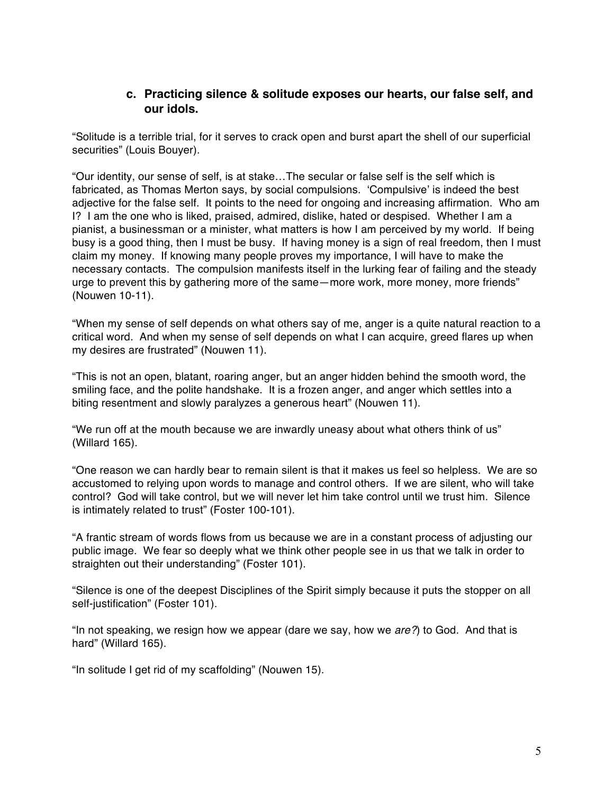### **c. Practicing silence & solitude exposes our hearts, our false self, and our idols.**

"Solitude is a terrible trial, for it serves to crack open and burst apart the shell of our superficial securities" (Louis Bouyer).

"Our identity, our sense of self, is at stake…The secular or false self is the self which is fabricated, as Thomas Merton says, by social compulsions. 'Compulsive' is indeed the best adjective for the false self. It points to the need for ongoing and increasing affirmation. Who am I? I am the one who is liked, praised, admired, dislike, hated or despised. Whether I am a pianist, a businessman or a minister, what matters is how I am perceived by my world. If being busy is a good thing, then I must be busy. If having money is a sign of real freedom, then I must claim my money. If knowing many people proves my importance, I will have to make the necessary contacts. The compulsion manifests itself in the lurking fear of failing and the steady urge to prevent this by gathering more of the same—more work, more money, more friends" (Nouwen 10-11).

"When my sense of self depends on what others say of me, anger is a quite natural reaction to a critical word. And when my sense of self depends on what I can acquire, greed flares up when my desires are frustrated" (Nouwen 11).

"This is not an open, blatant, roaring anger, but an anger hidden behind the smooth word, the smiling face, and the polite handshake. It is a frozen anger, and anger which settles into a biting resentment and slowly paralyzes a generous heart" (Nouwen 11).

"We run off at the mouth because we are inwardly uneasy about what others think of us" (Willard 165).

"One reason we can hardly bear to remain silent is that it makes us feel so helpless. We are so accustomed to relying upon words to manage and control others. If we are silent, who will take control? God will take control, but we will never let him take control until we trust him. Silence is intimately related to trust" (Foster 100-101).

"A frantic stream of words flows from us because we are in a constant process of adjusting our public image. We fear so deeply what we think other people see in us that we talk in order to straighten out their understanding" (Foster 101).

"Silence is one of the deepest Disciplines of the Spirit simply because it puts the stopper on all self-justification" (Foster 101).

"In not speaking, we resign how we appear (dare we say, how we *are?*) to God. And that is hard" (Willard 165).

"In solitude I get rid of my scaffolding" (Nouwen 15).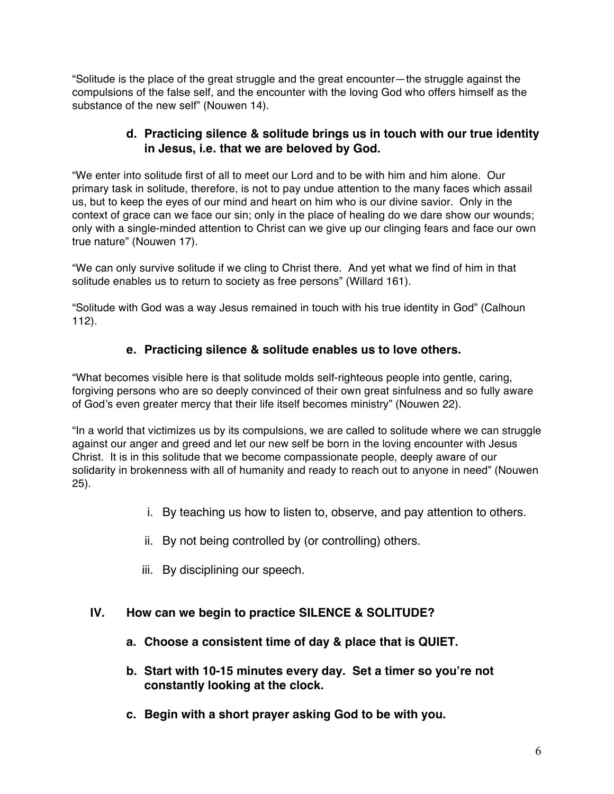"Solitude is the place of the great struggle and the great encounter—the struggle against the compulsions of the false self, and the encounter with the loving God who offers himself as the substance of the new self" (Nouwen 14).

# **d. Practicing silence & solitude brings us in touch with our true identity in Jesus, i.e. that we are beloved by God.**

"We enter into solitude first of all to meet our Lord and to be with him and him alone. Our primary task in solitude, therefore, is not to pay undue attention to the many faces which assail us, but to keep the eyes of our mind and heart on him who is our divine savior. Only in the context of grace can we face our sin; only in the place of healing do we dare show our wounds; only with a single-minded attention to Christ can we give up our clinging fears and face our own true nature" (Nouwen 17).

"We can only survive solitude if we cling to Christ there. And yet what we find of him in that solitude enables us to return to society as free persons" (Willard 161).

"Solitude with God was a way Jesus remained in touch with his true identity in God" (Calhoun 112).

# **e. Practicing silence & solitude enables us to love others.**

"What becomes visible here is that solitude molds self-righteous people into gentle, caring, forgiving persons who are so deeply convinced of their own great sinfulness and so fully aware of God's even greater mercy that their life itself becomes ministry" (Nouwen 22).

"In a world that victimizes us by its compulsions, we are called to solitude where we can struggle against our anger and greed and let our new self be born in the loving encounter with Jesus Christ. It is in this solitude that we become compassionate people, deeply aware of our solidarity in brokenness with all of humanity and ready to reach out to anyone in need" (Nouwen 25).

- i. By teaching us how to listen to, observe, and pay attention to others.
- ii. By not being controlled by (or controlling) others.
- iii. By disciplining our speech.

# **IV. How can we begin to practice SILENCE & SOLITUDE?**

- **a. Choose a consistent time of day & place that is QUIET.**
- **b. Start with 10-15 minutes every day. Set a timer so you're not constantly looking at the clock.**
- **c. Begin with a short prayer asking God to be with you.**